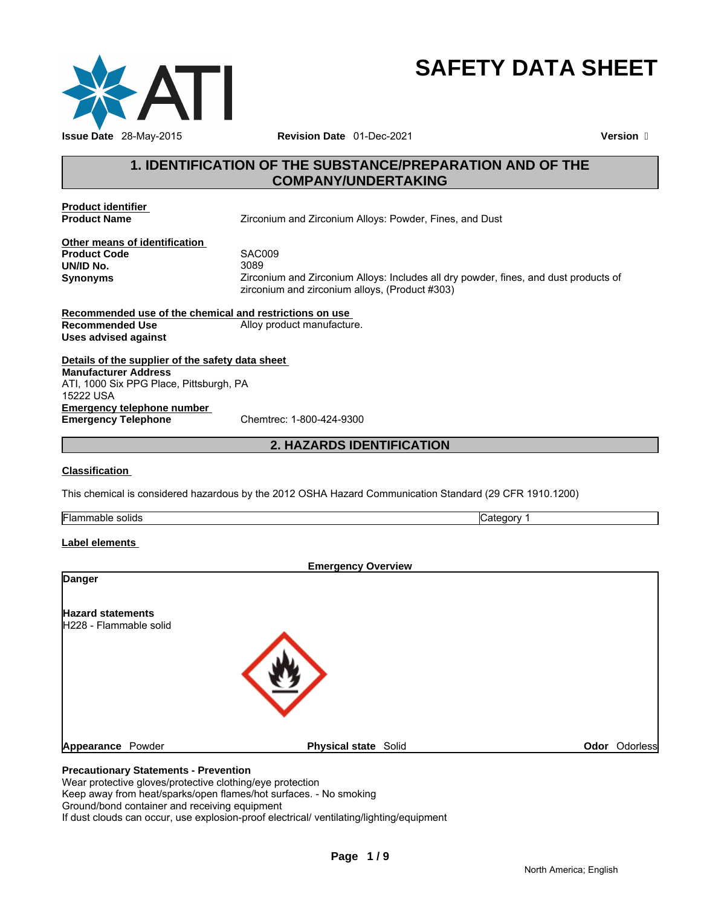

# **SAFETY DATA SHEET**

# **1. IDENTIFICATION OF THE SUBSTANCE/PREPARATION AND OF THE COMPANY/UNDERTAKING**

**Product identifier** 

**Product Name** Zirconium and Zirconium Alloys: Powder, Fines, and Dust

**Other means of identification Product Code** SAC009 **UN/ID No.** 

**Synonyms** Zirconium and Zirconium Alloys: Includes all dry powder, fines, and dust products of zirconium and zirconium alloys, (Product #303)

**Recommended use of the chemical and restrictions on use Recommended Use** Alloy product manufacture. **Uses advised against** 

**Details of the supplier of the safety data sheet Emergency telephone number Emergency Telephone** Chemtrec: 1-800-424-9300 **Manufacturer Address** ATI, 1000 Six PPG Place, Pittsburgh, PA 15222 USA

**2. HAZARDS IDENTIFICATION** 

## **Classification**

This chemical is considered hazardous by the 2012 OSHA Hazard Communication Standard (29 CFR 1910.1200)

| Flammable<br>solids | ategorv |
|---------------------|---------|
|---------------------|---------|

#### **Label elements**

|                                                    | <b>Emergency Overview</b>   |               |
|----------------------------------------------------|-----------------------------|---------------|
| <b>Danger</b>                                      |                             |               |
| <b>Hazard statements</b><br>H228 - Flammable solid |                             |               |
|                                                    |                             |               |
|                                                    | <b>Physical state Solid</b> | Odor Odorless |
| Appearance Powder                                  |                             |               |

## **Precautionary Statements - Prevention**

Wear protective gloves/protective clothing/eye protection

Keep away from heat/sparks/open flames/hot surfaces. - No smoking

Ground/bond container and receiving equipment

If dust clouds can occur, use explosion-proof electrical/ ventilating/lighting/equipment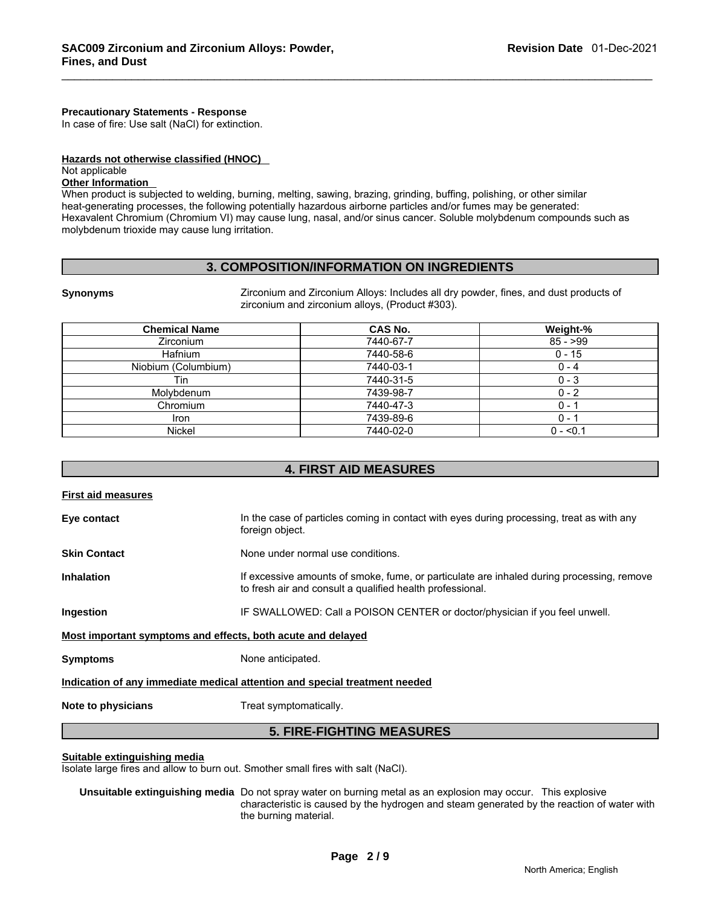#### **Precautionary Statements - Response**

In case of fire: Use salt (NaCl) for extinction.

#### **Hazards not otherwise classified (HNOC)**

#### Not applicable

## **Other Information**

When product is subjected to welding, burning, melting, sawing, brazing, grinding, buffing, polishing, or other similar heat-generating processes, the following potentially hazardous airborne particles and/or fumes may be generated: Hexavalent Chromium (Chromium VI) may cause lung, nasal, and/or sinus cancer. Soluble molybdenum compounds such as molybdenum trioxide may cause lung irritation.

## **3. COMPOSITION/INFORMATION ON INGREDIENTS**

**Synonyms** Zirconium and Zirconium Alloys: Includes all dry powder, fines, and dust products of zirconium and zirconium alloys, (Product #303).

| <b>Chemical Name</b> | CAS No.   | Weight-%   |
|----------------------|-----------|------------|
| Zirconium            | 7440-67-7 | $85 - 99$  |
| <b>Hafnium</b>       | 7440-58-6 | $0 - 15$   |
| Niobium (Columbium)  | 7440-03-1 | $0 - 4$    |
| Tin                  | 7440-31-5 | $0 - 3$    |
| Molvbdenum           | 7439-98-7 | $0 - 2$    |
| Chromium             | 7440-47-3 | $0 -$      |
| Iron                 | 7439-89-6 | $0 -$      |
| Nickel               | 7440-02-0 | $0 - 50.1$ |

## **4. FIRST AID MEASURES**

| <b>First aid measures</b> |                                                                                                                                                        |
|---------------------------|--------------------------------------------------------------------------------------------------------------------------------------------------------|
| Eye contact               | In the case of particles coming in contact with eyes during processing, treat as with any<br>foreign object.                                           |
| <b>Skin Contact</b>       | None under normal use conditions.                                                                                                                      |
| <b>Inhalation</b>         | If excessive amounts of smoke, fume, or particulate are inhaled during processing, remove<br>to fresh air and consult a qualified health professional. |
| Ingestion                 | IF SWALLOWED: Call a POISON CENTER or doctor/physician if you feel unwell.                                                                             |
|                           | Most important symptoms and effects, both acute and delayed                                                                                            |
| <b>Symptoms</b>           | None anticipated.                                                                                                                                      |
|                           | Indication of any immediate medical attention and special treatment needed                                                                             |
| Note to physicians        | Treat symptomatically.                                                                                                                                 |
|                           | <b>5. FIRE-FIGHTING MEASURES</b>                                                                                                                       |

#### **Suitable extinguishing media**

Isolate large fires and allow to burn out. Smother small fires with salt (NaCl).

#### **Unsuitable extinguishing media** Do not spray water on burning metal as an explosion may occur. This explosive characteristic is caused by the hydrogen and steam generated by the reaction of water with the burning material.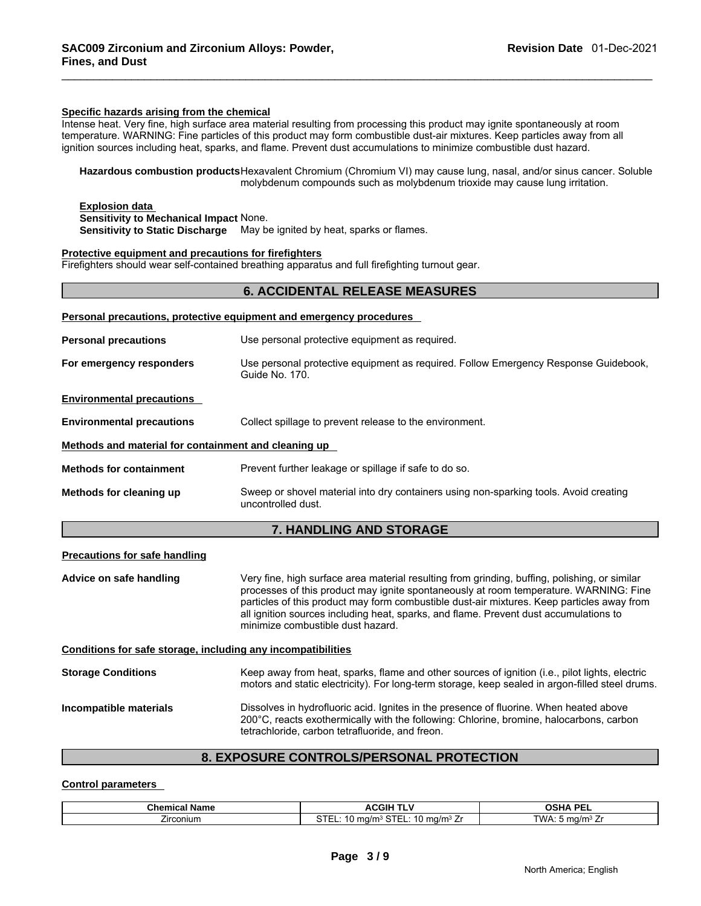#### **Specific hazards arising from the chemical**

Intense heat. Very fine, high surface area material resulting from processing this product may ignite spontaneously at room temperature. WARNING: Fine particles of this product may form combustible dust-air mixtures. Keep particles away from all ignition sources including heat, sparks, and flame. Prevent dust accumulations to minimize combustible dust hazard.

**Hazardous combustion products** Hexavalent Chromium (Chromium VI) may cause lung, nasal, and/or sinus cancer. Soluble molybdenum compounds such as molybdenum trioxide may cause lung irritation.

#### **Explosion data Sensitivity to Mechanical Impact** None. **Sensitivity to Static Discharge** May be ignited by heat, sparks or flames.

#### **Protective equipment and precautions for firefighters**

Firefighters should wear self-contained breathing apparatus and full firefighting turnout gear.

# **6. ACCIDENTAL RELEASE MEASURES**

|                                                              | Personal precautions, protective equipment and emergency procedures                                                                                                                                                                                                                                                                                                                                                |  |  |
|--------------------------------------------------------------|--------------------------------------------------------------------------------------------------------------------------------------------------------------------------------------------------------------------------------------------------------------------------------------------------------------------------------------------------------------------------------------------------------------------|--|--|
| <b>Personal precautions</b>                                  | Use personal protective equipment as required.                                                                                                                                                                                                                                                                                                                                                                     |  |  |
| For emergency responders                                     | Use personal protective equipment as required. Follow Emergency Response Guidebook,<br>Guide No. 170.                                                                                                                                                                                                                                                                                                              |  |  |
| <b>Environmental precautions</b>                             |                                                                                                                                                                                                                                                                                                                                                                                                                    |  |  |
| <b>Environmental precautions</b>                             | Collect spillage to prevent release to the environment.                                                                                                                                                                                                                                                                                                                                                            |  |  |
| Methods and material for containment and cleaning up         |                                                                                                                                                                                                                                                                                                                                                                                                                    |  |  |
| <b>Methods for containment</b>                               | Prevent further leakage or spillage if safe to do so.                                                                                                                                                                                                                                                                                                                                                              |  |  |
| Methods for cleaning up                                      | Sweep or shovel material into dry containers using non-sparking tools. Avoid creating<br>uncontrolled dust.                                                                                                                                                                                                                                                                                                        |  |  |
|                                                              | <b>7. HANDLING AND STORAGE</b>                                                                                                                                                                                                                                                                                                                                                                                     |  |  |
| <b>Precautions for safe handling</b>                         |                                                                                                                                                                                                                                                                                                                                                                                                                    |  |  |
| Advice on safe handling                                      | Very fine, high surface area material resulting from grinding, buffing, polishing, or similar<br>processes of this product may ignite spontaneously at room temperature. WARNING: Fine<br>particles of this product may form combustible dust-air mixtures. Keep particles away from<br>all ignition sources including heat, sparks, and flame. Prevent dust accumulations to<br>minimize combustible dust hazard. |  |  |
| Conditions for safe storage, including any incompatibilities |                                                                                                                                                                                                                                                                                                                                                                                                                    |  |  |
| <b>Storage Conditions</b>                                    | Keep away from heat, sparks, flame and other sources of ignition (i.e., pilot lights, electric<br>motors and static electricity). For long-term storage, keep sealed in argon-filled steel drums.                                                                                                                                                                                                                  |  |  |
| Incompatible materials                                       | Dissolves in hydrofluoric acid. Ignites in the presence of fluorine. When heated above<br>200°C, reacts exothermically with the following: Chlorine, bromine, halocarbons, carbon<br>tetrachloride, carbon tetrafluoride, and freon.                                                                                                                                                                               |  |  |

## **8. EXPOSURE CONTROLS/PERSONAL PROTECTION**

#### **Control parameters**

| Chemical<br>Name | ACGIF<br>.                                                                       | <b>OCUA DEI</b><br>UJNA<br>-- |
|------------------|----------------------------------------------------------------------------------|-------------------------------|
| -<br>∠ırconıum   | $\sim$ $\sim$<br>$\sim$ Tr<br>ma/m <sup>3</sup> .<br>.<br>u ma/m<br>∸⊃ IEL.<br>- | TWA.<br>ma/m∘.                |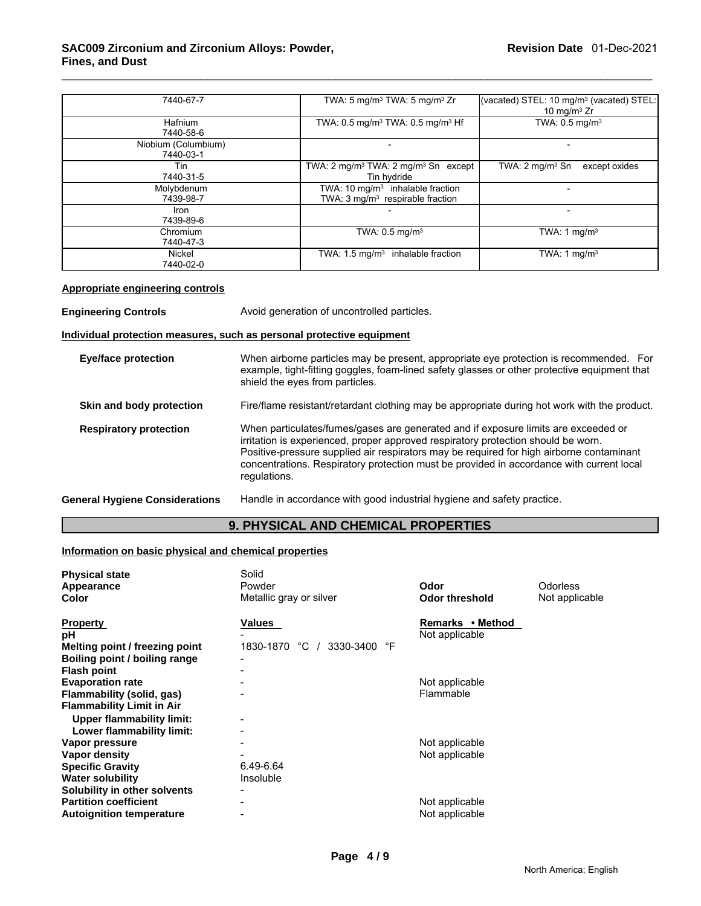## \_\_\_\_\_\_\_\_\_\_\_\_\_\_\_\_\_\_\_\_\_\_\_\_\_\_\_\_\_\_\_\_\_\_\_\_\_\_\_\_\_\_\_\_\_\_\_\_\_\_\_\_\_\_\_\_\_\_\_\_\_\_\_\_\_\_\_\_\_\_\_\_\_\_\_\_\_\_\_\_\_\_\_\_\_\_\_\_\_\_\_\_\_ **SAC009 Zirconium and Zirconium Alloys: Powder, Fines, and Dust**

| 7440-67-7                        | TWA: 5 mg/m <sup>3</sup> TWA: 5 mg/m <sup>3</sup> Zr                                        | (vacated) STEL: 10 mg/m <sup>3</sup> (vacated) STEL:<br>10 mg/m $3$ Zr |
|----------------------------------|---------------------------------------------------------------------------------------------|------------------------------------------------------------------------|
| Hafnium<br>7440-58-6             | TWA: 0.5 mg/m <sup>3</sup> TWA: 0.5 mg/m <sup>3</sup> Hf                                    | TWA: $0.5$ mg/m <sup>3</sup>                                           |
| Niobium (Columbium)<br>7440-03-1 |                                                                                             |                                                                        |
| Tin<br>7440-31-5                 | TWA: $2 \text{ mg/m}^3$ TWA: $2 \text{ mg/m}^3$ Sn except<br>Tin hydride                    | TWA: $2 \text{ mg/m}^3$ Sn<br>except oxides                            |
| Molybdenum<br>7439-98-7          | TWA: $10 \text{ mg/m}^3$ inhalable fraction<br>TWA: 3 mg/m <sup>3</sup> respirable fraction |                                                                        |
| <b>Iron</b><br>7439-89-6         |                                                                                             |                                                                        |
| Chromium<br>7440-47-3            | TWA: $0.5$ mg/m <sup>3</sup>                                                                | TWA: 1 mg/m $3$                                                        |
| Nickel<br>7440-02-0              | TWA: $1.5 \text{ mg/m}^3$ inhalable fraction                                                | TWA: 1 $mq/m3$                                                         |

#### **Appropriate engineering controls**

**Engineering Controls** Avoid generation of uncontrolled particles.

#### **Individual protection measures, such as personal protective equipment**

| <b>Eye/face protection</b>     | When airborne particles may be present, appropriate eye protection is recommended. For<br>example, tight-fitting goggles, foam-lined safety glasses or other protective equipment that<br>shield the eyes from particles.                                                                                                                                                       |
|--------------------------------|---------------------------------------------------------------------------------------------------------------------------------------------------------------------------------------------------------------------------------------------------------------------------------------------------------------------------------------------------------------------------------|
| Skin and body protection       | Fire/flame resistant/retardant clothing may be appropriate during hot work with the product.                                                                                                                                                                                                                                                                                    |
| <b>Respiratory protection</b>  | When particulates/fumes/gases are generated and if exposure limits are exceeded or<br>irritation is experienced, proper approved respiratory protection should be worn.<br>Positive-pressure supplied air respirators may be required for high airborne contaminant<br>concentrations. Respiratory protection must be provided in accordance with current local<br>regulations. |
| General Hygiene Considerations | Handle in accordance with good industrial hygiene and safety practice.                                                                                                                                                                                                                                                                                                          |

# **9. PHYSICAL AND CHEMICAL PROPERTIES**

## **Information on basic physical and chemical properties**

| <b>Physical state</b>            | Solid                           |                       |                 |
|----------------------------------|---------------------------------|-----------------------|-----------------|
| Appearance                       | Powder                          | Odor                  | <b>Odorless</b> |
| Color                            | Metallic gray or silver         | <b>Odor threshold</b> | Not applicable  |
| <b>Property</b>                  | Values                          | Remarks • Method      |                 |
| рH                               |                                 | Not applicable        |                 |
| Melting point / freezing point   | 1830-1870 °C<br>3330-3400<br>°F |                       |                 |
| Boiling point / boiling range    |                                 |                       |                 |
| <b>Flash point</b>               |                                 |                       |                 |
| <b>Evaporation rate</b>          |                                 | Not applicable        |                 |
| Flammability (solid, gas)        |                                 | Flammable             |                 |
| <b>Flammability Limit in Air</b> |                                 |                       |                 |
| Upper flammability limit:        |                                 |                       |                 |
| Lower flammability limit:        |                                 |                       |                 |
| Vapor pressure                   |                                 | Not applicable        |                 |
| Vapor density                    |                                 | Not applicable        |                 |
| <b>Specific Gravity</b>          | 6.49-6.64                       |                       |                 |
| <b>Water solubility</b>          | Insoluble                       |                       |                 |
| Solubility in other solvents     |                                 |                       |                 |
| <b>Partition coefficient</b>     |                                 | Not applicable        |                 |
| <b>Autoignition temperature</b>  | $\blacksquare$                  | Not applicable        |                 |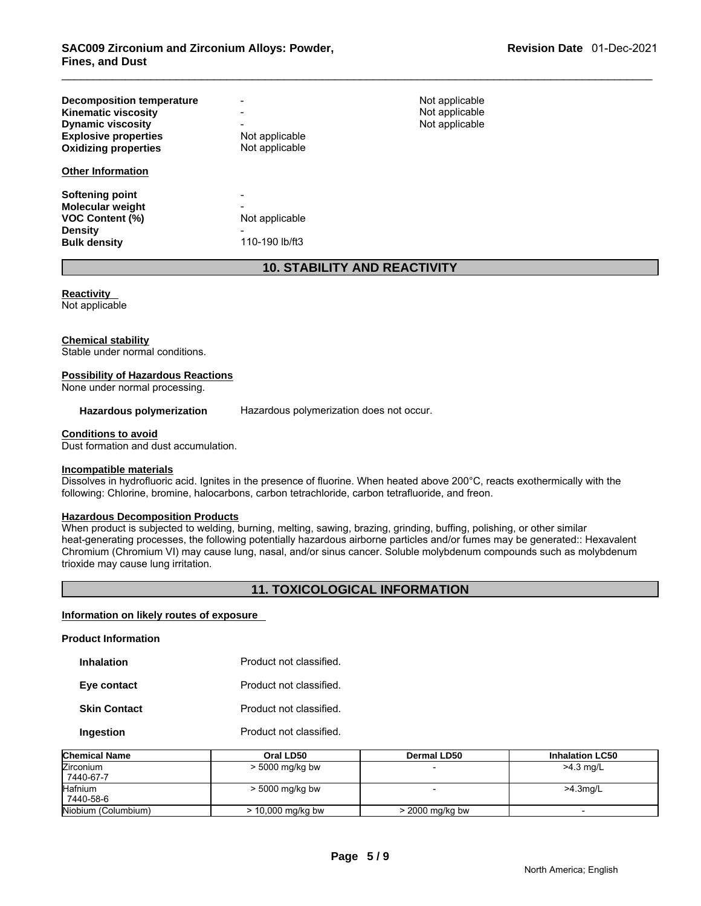| <b>Decomposition temperature</b> | $\blacksquare$ | Not applicable |
|----------------------------------|----------------|----------------|
| <b>Kinematic viscosity</b>       | $\blacksquare$ | Not applicable |
| <b>Dynamic viscosity</b>         | $\blacksquare$ | Not applicable |
| <b>Explosive properties</b>      | Not applicable |                |
| <b>Oxidizing properties</b>      | Not applicable |                |
| <b>Other Information</b>         |                |                |
| Softening point                  | $\,$           |                |
| <b>Molecular weight</b>          | $\,$           |                |
| <b>VOC Content (%)</b>           | Not applicable |                |
| <b>Density</b>                   | $\,$           |                |
| <b>Bulk density</b>              | 110-190 lb/ft3 |                |

## **10. STABILITY AND REACTIVITY**

# **Reactivity**

Not applicable

#### **Chemical stability**

Stable under normal conditions.

## **Possibility of Hazardous Reactions**

None under normal processing.

#### **Hazardous polymerization** Hazardous polymerization does not occur.

#### **Conditions to avoid**

Dust formation and dust accumulation.

#### **Incompatible materials**

Dissolves in hydrofluoric acid. Ignites in the presence of fluorine. When heated above 200°C, reacts exothermically with the following: Chlorine, bromine, halocarbons, carbon tetrachloride, carbon tetrafluoride, and freon.

#### **Hazardous Decomposition Products**

When product is subjected to welding, burning, melting, sawing, brazing, grinding, buffing, polishing, or other similar heat-generating processes, the following potentially hazardous airborne particles and/or fumes may be generated:: Hexavalent Chromium (Chromium VI) may cause lung, nasal, and/or sinus cancer. Soluble molybdenum compounds such as molybdenum trioxide may cause lung irritation.

## **11. TOXICOLOGICAL INFORMATION**

#### **Information on likely routes of exposure**

**Product Information** 

| <b>Inhalation</b> | Product not classified. |
|-------------------|-------------------------|
|                   |                         |

**Eye contact Product not classified.** 

**Skin Contact Product not classified.** 

**Ingestion Product not classified.** 

| <b>Chemical Name</b> | Oral LD50           | Dermal LD50       | <b>Inhalation LC50</b> |
|----------------------|---------------------|-------------------|------------------------|
| <b>Zirconium</b>     | > 5000 mg/kg bw     |                   | $>4.3$ mg/L            |
| 7440-67-7            |                     |                   |                        |
| <b>Hafnium</b>       | > 5000 mg/kg bw     |                   | $>4.3$ mg/L            |
| 7440-58-6            |                     |                   |                        |
| Niobium (Columbium)  | $> 10,000$ mg/kg bw | $>$ 2000 mg/kg bw |                        |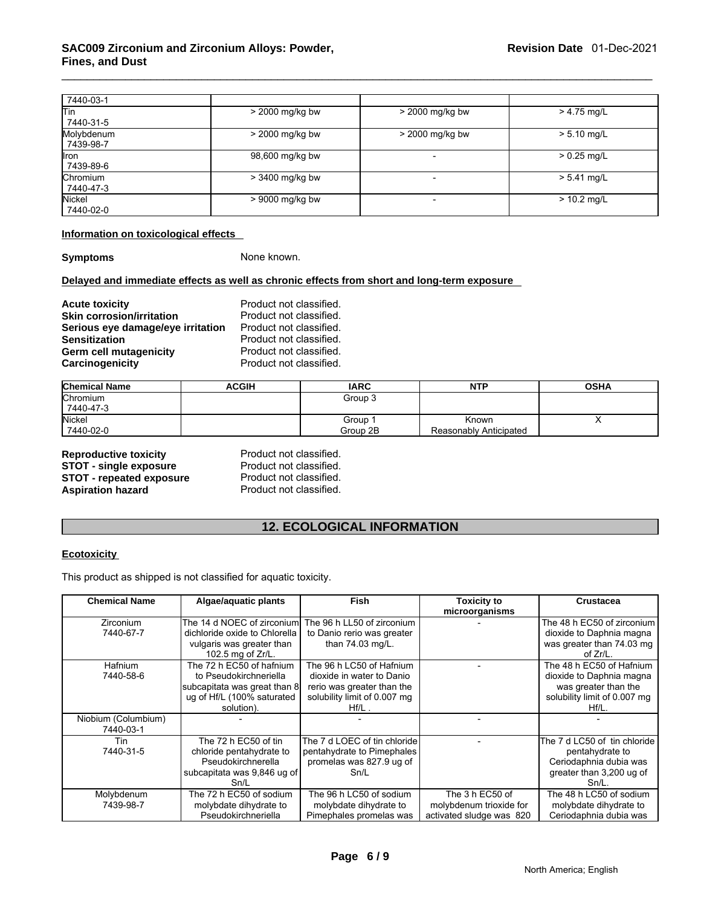| 7440-03-1                 |                 |                          |               |
|---------------------------|-----------------|--------------------------|---------------|
| lTin<br>7440-31-5         | > 2000 mg/kg bw | > 2000 mg/kg bw          | $> 4.75$ mg/L |
| Molybdenum<br>7439-98-7   | > 2000 mg/kg bw | > 2000 mg/kg bw          | $> 5.10$ mg/L |
| <b>l</b> ron<br>7439-89-6 | 98,600 mg/kg bw | $\overline{\phantom{a}}$ | $> 0.25$ mg/L |
| Chromium<br>7440-47-3     | > 3400 mg/kg bw | $\overline{\phantom{0}}$ | $> 5.41$ mg/L |
| Nickel<br>7440-02-0       | > 9000 mg/kg bw |                          | $> 10.2$ mg/L |

#### **Information on toxicological effects**

**Symptoms** None known.

#### **Delayed and immediate effects as well as chronic effects from short and long-term exposure**

**Acute toxicity** <br> **Acute toxicity**<br> **Product not classified.**<br>
Product not classified. **Skin corrosion/irritation** Product not classified.<br>**Serious eve damage/eve irritation** Product not classified. **Serious eye damage/eye irritation<br>Sensitization** Product not classified.<br>Product not classified. **Germ cell mutagenicity example 3 and Product not classified.**<br> **Carcinogenicity Product not classified. Carcinogenicity** 

| <b>Chemical Name</b> | <b>ACGIH</b> | <b>IARC</b> | <b>NTP</b>             | <b>OSHA</b> |
|----------------------|--------------|-------------|------------------------|-------------|
| Chromium             |              | Group 3     |                        |             |
| 7440-47-3            |              |             |                        |             |
| <b>Nickel</b>        |              | Group 1     | Known                  |             |
| 7440-02-0            |              | Group 2B    | Reasonably Anticipated |             |

**Reproductive toxicity example 3 Reproduct not classified.**<br> **STOT - single exposure** Product not classified. **STOT - single exposure Figure 12 STOT - single exposure Figure 2 STOT - repeated exposure Figure 2 Product not classified. STOT - repeated exposure<br>Aspiration hazard** 

Product not classified.

## **12. ECOLOGICAL INFORMATION**

#### **Ecotoxicity**

This product as shipped is not classified for aquatic toxicity.

| <b>Chemical Name</b>             | Algae/aquatic plants                                                                                                           | <b>Fish</b>                                                                                                                     | <b>Toxicity to</b><br>microorganisms                                   | <b>Crustacea</b>                                                                                                         |
|----------------------------------|--------------------------------------------------------------------------------------------------------------------------------|---------------------------------------------------------------------------------------------------------------------------------|------------------------------------------------------------------------|--------------------------------------------------------------------------------------------------------------------------|
| <b>Zirconium</b><br>7440-67-7    | The 14 d NOEC of zirconium<br>dichloride oxide to Chlorella<br>vulgaris was greater than<br>102.5 mg of Zr/L.                  | The 96 h LL50 of zirconium<br>to Danio rerio was greater<br>than 74.03 mg/L.                                                    |                                                                        | The 48 h EC50 of zirconium<br>dioxide to Daphnia magna<br>was greater than 74.03 mg<br>of Zr/L.                          |
| Hafnium<br>7440-58-6             | The 72 h EC50 of hafnium<br>to Pseudokirchneriella<br>subcapitata was great than 8<br>ug of Hf/L (100% saturated<br>solution). | The 96 h LC50 of Hafnium<br>dioxide in water to Danio<br>rerio was greater than the<br>solubility limit of 0.007 mg<br>$Hf/L$ . |                                                                        | The 48 h EC50 of Hafnium<br>dioxide to Daphnia magna<br>was greater than the<br>solubility limit of 0.007 mg<br>$Hf/L$ . |
| Niobium (Columbium)<br>7440-03-1 |                                                                                                                                |                                                                                                                                 |                                                                        |                                                                                                                          |
| Tin<br>7440-31-5                 | The 72 h EC50 of tin<br>chloride pentahydrate to<br>Pseudokirchnerella<br>subcapitata was 9,846 ug of<br>Sn/L                  | The 7 d LOEC of tin chloride<br>pentahydrate to Pimephales<br>promelas was 827.9 ug of<br>Sn/L                                  |                                                                        | The 7 d LC50 of tin chloride<br>pentahydrate to<br>Ceriodaphnia dubia was<br>greater than 3,200 ug of<br>$Sn/L$ .        |
| Molybdenum<br>7439-98-7          | The 72 h EC50 of sodium<br>molybdate dihydrate to<br>Pseudokirchneriella                                                       | The 96 h LC50 of sodium<br>molybdate dihydrate to<br>Pimephales promelas was                                                    | The 3 h EC50 of<br>molybdenum trioxide for<br>activated sludge was 820 | The 48 h LC50 of sodium<br>molybdate dihydrate to<br>Ceriodaphnia dubia was                                              |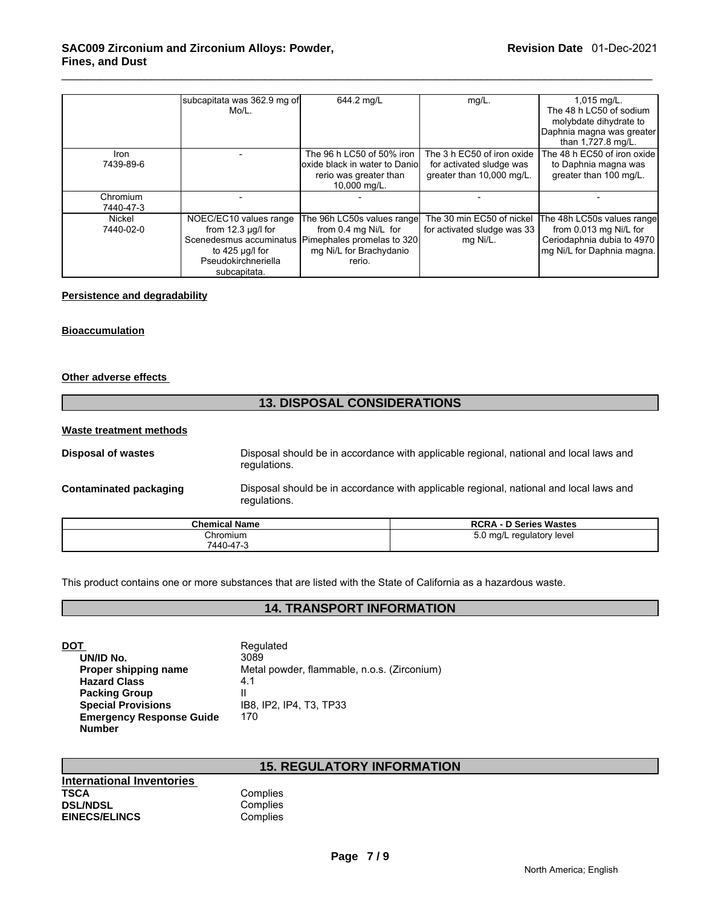|             | subcapitata was 362.9 mg of | 644.2 mg/L                     | $mg/L$ .                    | 1,015 mg/L.                 |
|-------------|-----------------------------|--------------------------------|-----------------------------|-----------------------------|
|             | $Mo/L$ .                    |                                |                             | The 48 h LC50 of sodium     |
|             |                             |                                |                             | molybdate dihydrate to      |
|             |                             |                                |                             | Daphnia magna was greater   |
|             |                             |                                |                             | than 1,727.8 mg/L.          |
| <b>Iron</b> |                             | The 96 h LC50 of 50% iron      | The 3 h EC50 of iron oxide  | The 48 h EC50 of iron oxide |
| 7439-89-6   |                             | oxide black in water to Daniol | for activated sludge was    | to Daphnia magna was        |
|             |                             | rerio was greater than         | greater than 10,000 mg/L.   | greater than 100 mg/L.      |
|             |                             | 10,000 mg/L.                   |                             |                             |
| Chromium    |                             |                                |                             |                             |
| 7440-47-3   |                             |                                |                             |                             |
| Nickel      | NOEC/EC10 values range      | The 96h LC50s values range     | The 30 min EC50 of nickel   | The 48h LC50s values range  |
| 7440-02-0   | from $12.3 \mu g/l$ for     | from 0.4 mg Ni/L for           | for activated sludge was 33 | from 0.013 mg Ni/L for      |
|             | Scenedesmus accuminatus     | Pimephales promelas to 320     | mg Ni/L.                    | Ceriodaphnia dubia to 4970  |
|             | to 425 µg/l for             | mg Ni/L for Brachydanio        |                             | mg Ni/L for Daphnia magna.  |
|             | Pseudokirchneriella         | rerio.                         |                             |                             |
|             | subcapitata.                |                                |                             |                             |

#### **Persistence and degradability**

#### **Bioaccumulation**

#### **Other adverse effects**

## **13. DISPOSAL CONSIDERATIONS**

#### **Waste treatment methods**

| Disposal of wastes     | Disposal should be in accordance with applicable regional, national and local laws and<br>regulations. |                              |  |
|------------------------|--------------------------------------------------------------------------------------------------------|------------------------------|--|
| Contaminated packaging | Disposal should be in accordance with applicable regional, national and local laws and<br>regulations. |                              |  |
|                        | Chamisal Name                                                                                          | <b>DODA</b> D. Carico Menton |  |

| <b>Chemical Name</b>  | <b>RCRA - D Series Wastes</b> |
|-----------------------|-------------------------------|
| Chromium<br>7440-47-3 | 5.0 mg/L regulatory level     |

This product contains one or more substances that are listed with the State of California as a hazardous waste.

## **14. TRANSPORT INFORMATION**

| Regulated                                   |
|---------------------------------------------|
| 3089                                        |
| Metal powder, flammable, n.o.s. (Zirconium) |
| 4.1                                         |
|                                             |
| IB8, IP2, IP4, T3, TP33                     |
| 170                                         |
|                                             |
|                                             |

## **15. REGULATORY INFORMATION**

| 17. INLVVLAT |
|--------------|
|              |
| Complies     |
| Complies     |
| Complies     |
|              |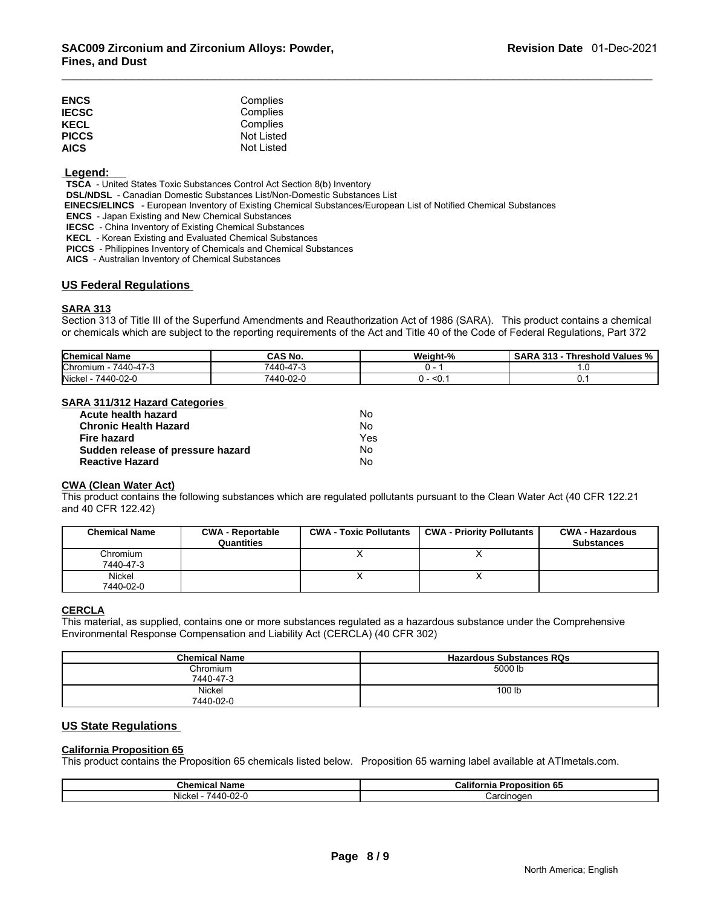| <b>ENCS</b>  | Complies   |
|--------------|------------|
| <b>IECSC</b> | Complies   |
| KECL         | Complies   |
| <b>PICCS</b> | Not Listed |
| <b>AICS</b>  | Not Listed |
|              |            |

#### **Legend:**

 **TSCA** - United States Toxic Substances Control Act Section 8(b) Inventory

 **DSL/NDSL** - Canadian Domestic Substances List/Non-Domestic Substances List

 **EINECS/ELINCS** - European Inventory of Existing Chemical Substances/European List of Notified Chemical Substances

 **ENCS** - Japan Existing and New Chemical Substances

 **IECSC** - China Inventory of Existing Chemical Substances

 **KECL** - Korean Existing and Evaluated Chemical Substances

 **PICCS** - Philippines Inventory of Chemicals and Chemical Substances

 **AICS** - Australian Inventory of Chemical Substances

#### **US Federal Regulations**

#### **SARA 313**

Section 313 of Title III of the Superfund Amendments and Reauthorization Act of 1986 (SARA). This product contains a chemical or chemicals which are subject to the reporting requirements of the Act and Title 40 of the Code of Federal Regulations, Part 372

| <b>Chemical Name</b>  | .<br>NO.                | Weight-% | <b>242</b><br>Threshold Values %<br>эAР<br>-313<br>$\mathbf{M}$ |
|-----------------------|-------------------------|----------|-----------------------------------------------------------------|
| Chromium<br>7440-47-3 | $1 -$<br>7440<br>$\sim$ | . -      | $\cdot \cdot$                                                   |
| Nickel<br>7440-02-0   | 7440-02-0               | ∼∪       |                                                                 |

### **SARA 311/312 Hazard Categories**

| Acute health hazard               | No  |
|-----------------------------------|-----|
| <b>Chronic Health Hazard</b>      | No  |
| Fire hazard                       | Yes |
| Sudden release of pressure hazard | Nο  |
| <b>Reactive Hazard</b>            | No  |

#### **CWA (Clean Water Act)**

This product contains the following substances which are regulated pollutants pursuant to the Clean Water Act (40 CFR 122.21 and 40 CFR 122.42)

| <b>Chemical Name</b>  | <b>CWA - Reportable</b><br>Quantities | <b>CWA - Toxic Pollutants</b> | CWA - Priority Pollutants | <b>CWA - Hazardous</b><br><b>Substances</b> |
|-----------------------|---------------------------------------|-------------------------------|---------------------------|---------------------------------------------|
| Chromium<br>7440-47-3 |                                       |                               |                           |                                             |
| Nickel<br>7440-02-0   |                                       |                               |                           |                                             |

## **CERCLA**

This material, as supplied, contains one or more substances regulated as a hazardous substance under the Comprehensive Environmental Response Compensation and Liability Act (CERCLA) (40 CFR 302)

| <b>Chemical Name</b>  | <b>Hazardous Substances RQs</b> |
|-----------------------|---------------------------------|
| Chromium<br>7440-47-3 | 5000 lb                         |
| Nickel<br>7440-02-0   | 100 lb                          |

## **US State Regulations**

#### **California Proposition 65**

This product contains the Proposition 65 chemicals listed below. Proposition 65 warning label available at ATImetals.com.

| - -                                                         | Califoı               |
|-------------------------------------------------------------|-----------------------|
| Chemical                                                    | <b>Proposition 65</b> |
| ' Name                                                      | ∍rnia                 |
| $\sim$<br>$\sim$<br>Nickel<br>$\Delta$ Al<br>' ا-2ں<br>r-rv | Carcınoɑer            |